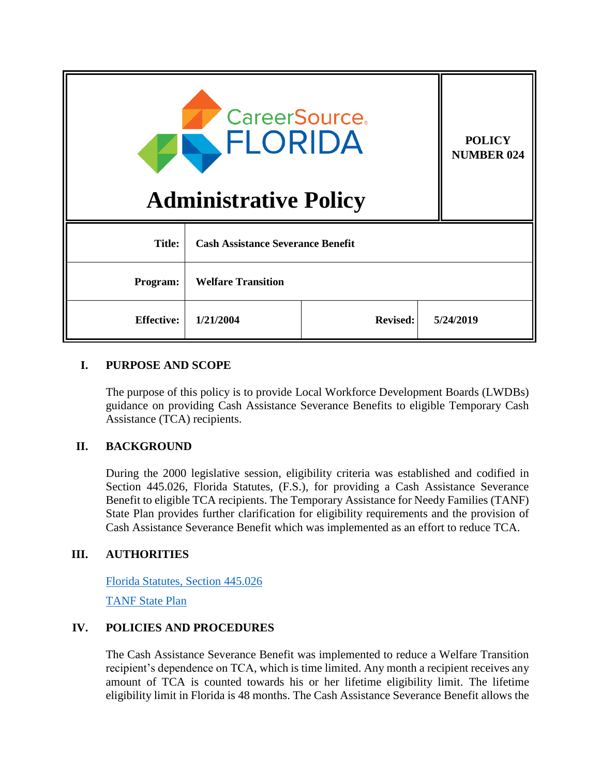| <b>CareerSource.</b><br>FLORIDA<br><b>Administrative Policy</b> |                                          |                 |  | <b>POLICY</b><br><b>NUMBER 024</b> |
|-----------------------------------------------------------------|------------------------------------------|-----------------|--|------------------------------------|
| <b>Title:</b>                                                   | <b>Cash Assistance Severance Benefit</b> |                 |  |                                    |
| Program:                                                        | <b>Welfare Transition</b>                |                 |  |                                    |
| <b>Effective:</b>                                               | 1/21/2004                                | <b>Revised:</b> |  | 5/24/2019                          |

## **I. PURPOSE AND SCOPE**

The purpose of this policy is to provide Local Workforce Development Boards (LWDBs) guidance on providing Cash Assistance Severance Benefits to eligible Temporary Cash Assistance (TCA) recipients.

# **II. BACKGROUND**

During the 2000 legislative session, eligibility criteria was established and codified in Section 445.026, Florida Statutes, (F.S.), for providing a Cash Assistance Severance Benefit to eligible TCA recipients. The Temporary Assistance for Needy Families (TANF) State Plan provides further clarification for eligibility requirements and the provision of Cash Assistance Severance Benefit which was implemented as an effort to reduce TCA.

# **III. AUTHORITIES**

[Florida Statutes, Section](http://www.leg.state.fl.us/Statutes/index.cfm?App_mode=Display_Statute&Search_String=&URL=0400-0499/0445/Sections/0445.026.html) 445.026 [TANF State Plan](http://www.dcf.state.fl.us/programs/access/docs/TANF-Plan.pdf)

# **IV. POLICIES AND PROCEDURES**

The Cash Assistance Severance Benefit was implemented to reduce a Welfare Transition recipient's dependence on TCA, which is time limited. Any month a recipient receives any amount of TCA is counted towards his or her lifetime eligibility limit. The lifetime eligibility limit in Florida is 48 months. The Cash Assistance Severance Benefit allows the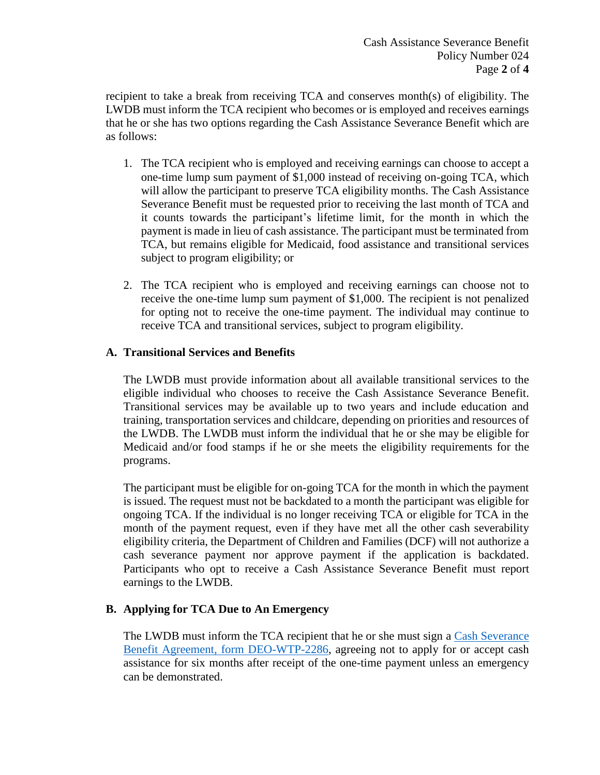recipient to take a break from receiving TCA and conserves month(s) of eligibility. The LWDB must inform the TCA recipient who becomes or is employed and receives earnings that he or she has two options regarding the Cash Assistance Severance Benefit which are as follows:

- 1. The TCA recipient who is employed and receiving earnings can choose to accept a one-time lump sum payment of \$1,000 instead of receiving on-going TCA, which will allow the participant to preserve TCA eligibility months. The Cash Assistance Severance Benefit must be requested prior to receiving the last month of TCA and it counts towards the participant's lifetime limit, for the month in which the payment is made in lieu of cash assistance. The participant must be terminated from TCA, but remains eligible for Medicaid, food assistance and transitional services subject to program eligibility; or
- 2. The TCA recipient who is employed and receiving earnings can choose not to receive the one-time lump sum payment of \$1,000. The recipient is not penalized for opting not to receive the one-time payment. The individual may continue to receive TCA and transitional services, subject to program eligibility.

## **A. Transitional Services and Benefits**

The LWDB must provide information about all available transitional services to the eligible individual who chooses to receive the Cash Assistance Severance Benefit. Transitional services may be available up to two years and include education and training, transportation services and childcare, depending on priorities and resources of the LWDB. The LWDB must inform the individual that he or she may be eligible for Medicaid and/or food stamps if he or she meets the eligibility requirements for the programs.

The participant must be eligible for on-going TCA for the month in which the payment is issued. The request must not be backdated to a month the participant was eligible for ongoing TCA. If the individual is no longer receiving TCA or eligible for TCA in the month of the payment request, even if they have met all the other cash severability eligibility criteria, the Department of Children and Families (DCF) will not authorize a cash severance payment nor approve payment if the application is backdated. Participants who opt to receive a Cash Assistance Severance Benefit must report earnings to the LWDB.

# **B. Applying for TCA Due to An Emergency**

The LWDB must inform the TCA recipient that he or she must sign a [Cash Severance](http://www.floridajobs.org/docs/default-source/lwdb-resources/programs-and-resources/welfare-transition/wt-forms/2007-wt-forms/wt_2286cashseveragrmt091907_091907.rtf?sfvrsn=2)  [Benefit Agreement, form DEO-WTP-2286,](http://www.floridajobs.org/docs/default-source/lwdb-resources/programs-and-resources/welfare-transition/wt-forms/2007-wt-forms/wt_2286cashseveragrmt091907_091907.rtf?sfvrsn=2) agreeing not to apply for or accept cash assistance for six months after receipt of the one-time payment unless an emergency can be demonstrated.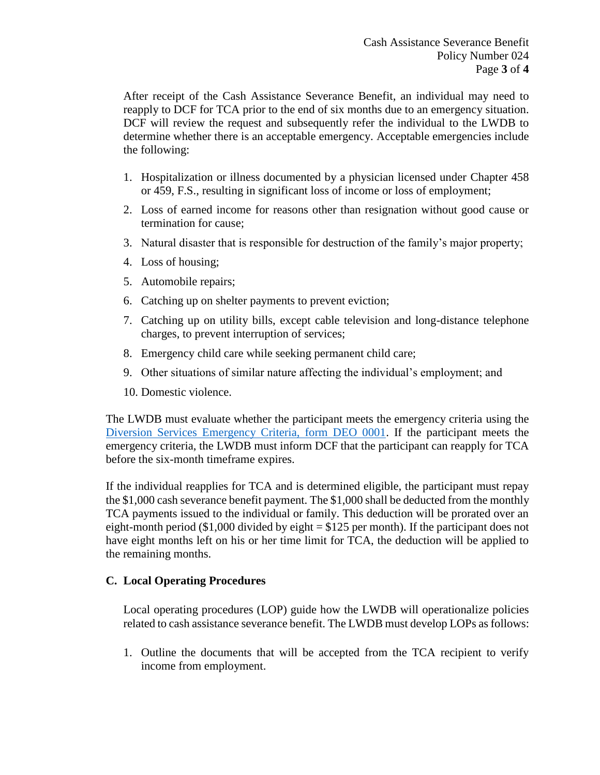After receipt of the Cash Assistance Severance Benefit, an individual may need to reapply to DCF for TCA prior to the end of six months due to an emergency situation. DCF will review the request and subsequently refer the individual to the LWDB to determine whether there is an acceptable emergency. Acceptable emergencies include the following:

- 1. Hospitalization or illness documented by a physician licensed under Chapter 458 or 459, F.S., resulting in significant loss of income or loss of employment;
- 2. Loss of earned income for reasons other than resignation without good cause or termination for cause;
- 3. Natural disaster that is responsible for destruction of the family's major property;
- 4. Loss of housing;
- 5. Automobile repairs;
- 6. Catching up on shelter payments to prevent eviction;
- 7. Catching up on utility bills, except cable television and long-distance telephone charges, to prevent interruption of services;
- 8. Emergency child care while seeking permanent child care;
- 9. Other situations of similar nature affecting the individual's employment; and
- 10. Domestic violence.

The LWDB must evaluate whether the participant meets the emergency criteria using the [Diversion Services Emergency Criteria, form DEO 0001.](http://www.floridajobs.org/docs/default-source/lwdb-resources/programs-and-resources/welfare-transition/wt-forms/2007-wt-forms/wt_0001emergcritfordivrsserv010207_010607.rtf?sfvrsn=2) If the participant meets the emergency criteria, the LWDB must inform DCF that the participant can reapply for TCA before the six-month timeframe expires.

If the individual reapplies for TCA and is determined eligible, the participant must repay the \$1,000 cash severance benefit payment. The \$1,000 shall be deducted from the monthly TCA payments issued to the individual or family. This deduction will be prorated over an eight-month period (\$1,000 divided by eight = \$125 per month). If the participant does not have eight months left on his or her time limit for TCA, the deduction will be applied to the remaining months.

### **C. Local Operating Procedures**

Local operating procedures (LOP) guide how the LWDB will operationalize policies related to cash assistance severance benefit. The LWDB must develop LOPs as follows:

1. Outline the documents that will be accepted from the TCA recipient to verify income from employment.